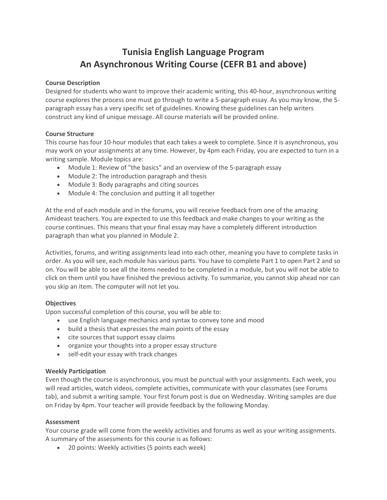# **Tunisia English Language Program An Asynchronous Writing Course (CEFR B1 and above)**

#### **Course Description**

Designed for students who want to improve their academic writing, this 40-hour, asynchronous writing course explores the process one must go through to write a 5-paragraph essay. As you may know, the 5 paragraph essay has a very specific set of guidelines. Knowing these guidelines can help writers construct any kind of unique message. All course materials will be provided online.

### **Course Structure**

This course has four 10-hour modules that each takes a week to complete. Since it is asynchronous, you may work on your assignments at any time. However, by 4pm each Friday, you are expected to turn in a writing sample. Module topics are:

- Module 1: Review of "the basics" and an overview of the 5-paragraph essay
- Module 2: The introduction paragraph and thesis
- Module 3: Body paragraphs and citing sources
- Module 4: The conclusion and putting it all together

At the end of each module and in the forums, you will receive feedback from one of the amazing Amideast teachers. You are expected to use this feedback and make changes to your writing as the course continues. This means that your final essay may have a completely different introduction paragraph than what you planned in Module 2.

Activities, forums, and writing assignments lead into each other, meaning you have to complete tasks in order. As you will see, each module has various parts. You have to complete Part 1 to open Part 2 and so on. You will be able to see all the items needed to be completed in a module, but you will not be able to click on them until you have finished the previous activity. To summarize, you cannot skip ahead nor can you skip an item. The computer will not let you.

#### **Objectives**

Upon successful completion of this course, you will be able to:

- use English language mechanics and syntax to convey tone and mood
- build a thesis that expresses the main points of the essay
- cite sources that support essay claims
- organize your thoughts into a proper essay structure
- self-edit your essay with track changes

#### **Weekly Participation**

Even though the course is asynchronous, you must be punctual with your assignments. Each week, you will read articles, watch videos, complete activities, communicate with your classmates (see Forums tab), and submit a writing sample. Your first forum post is due on Wednesday. Writing samples are due on Friday by 4pm. Your teacher will provide feedback by the following Monday.

## **Assessment**

Your course grade will come from the weekly activities and forums as well as your writing assignments. A summary of the assessments for this course is as follows:

• 20 points: Weekly activities (5 points each week)